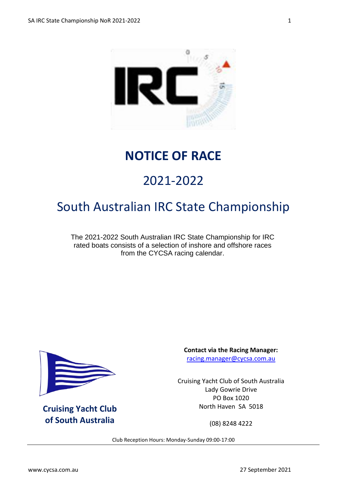

### **NOTICE OF RACE**

# 2021-2022

## South Australian IRC State Championship

The 2021-2022 South Australian IRC State Championship for IRC rated boats consists of a selection of inshore and offshore races from the CYCSA racing calendar.



**Cruising Yacht Club of South Australia**

**Contact via the Racing Manager:** [racing.manager@cycsa.com.au](mailto:racing.manager@cycsa.com.au)

Cruising Yacht Club of South Australia Lady Gowrie Drive PO Box 1020 North Haven SA 5018

(08) 8248 4222

Club Reception Hours: Monday-Sunday 09:00-17:00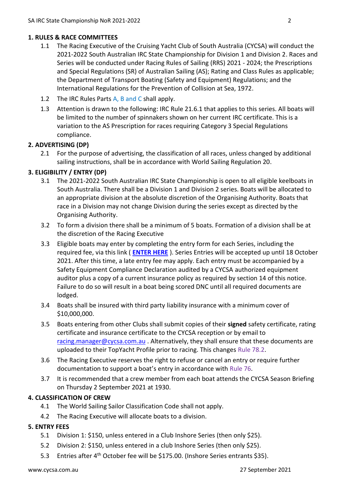#### **1. RULES & RACE COMMITTEES**

- 1.1 The Racing Executive of the Cruising Yacht Club of South Australia (CYCSA) will conduct the 2021-2022 South Australian IRC State Championship for Division 1 and Division 2. Races and Series will be conducted under Racing Rules of Sailing (RRS) 2021 - 2024; the Prescriptions and Special Regulations (SR) of Australian Sailing (AS); Rating and Class Rules as applicable; the Department of Transport Boating (Safety and Equipment) Regulations; and the International Regulations for the Prevention of Collision at Sea, 1972.
- 1.2 The IRC Rules Parts A, B and C shall apply.
- 1.3 Attention is drawn to the following: IRC Rule 21.6.1 that applies to this series. All boats will be limited to the number of spinnakers shown on her current IRC certificate. This is a variation to the AS Prescription for races requiring Category 3 Special Regulations compliance.

#### **2. ADVERTISING (DP)**

2.1 For the purpose of advertising, the classification of all races, unless changed by additional sailing instructions, shall be in accordance with World Sailing Regulation 20.

#### **3. ELIGIBILITY / ENTRY (DP)**

- 3.1 The 2021-2022 South Australian IRC State Championship is open to all eligible keelboats in South Australia. There shall be a Division 1 and Division 2 series. Boats will be allocated to an appropriate division at the absolute discretion of the Organising Authority. Boats that race in a Division may not change Division during the series except as directed by the Organising Authority.
- 3.2 To form a division there shall be a minimum of 5 boats. Formation of a division shall be at the discretion of the Racing Executive
- 3.3 Eligible boats may enter by completing the entry form for each Series, including the required fee, via this link ( **[ENTER HERE](https://www.topyacht.com.au/db/kb/1133)** ). Series Entries will be accepted up until 18 October 2021. After this time, a late entry fee may apply. Each entry must be accompanied by a Safety Equipment Compliance Declaration audited by a CYCSA authorized equipment auditor plus a copy of a current insurance policy as required by section 14 of this notice. Failure to do so will result in a boat being scored DNC until all required documents are lodged.
- 3.4 Boats shall be insured with third party liability insurance with a minimum cover of \$10,000,000.
- 3.5 Boats entering from other Clubs shall submit copies of their **signed** safety certificate, rating certificate and insurance certificate to the CYCSA reception or by email to [racing.manager@cycsa.com.au](mailto:racing.manager@cycsa.com.au) . Alternatively, they shall ensure that these documents are uploaded to their TopYacht Profile prior to racing. This changes Rule 78.2.
- 3.6 The Racing Executive reserves the right to refuse or cancel an entry or require further documentation to support a boat's entry in accordance with Rule 76.
- 3.7 It is recommended that a crew member from each boat attends the CYCSA Season Briefing on Thursday 2 September 2021 at 1930.

#### **4. CLASSIFICATION OF CREW**

- 4.1 The World Sailing Sailor Classification Code shall not apply.
- 4.2 The Racing Executive will allocate boats to a division.

#### **5. ENTRY FEES**

- 5.1 Division 1: \$150, unless entered in a Club Inshore Series (then only \$25).
- 5.2 Division 2: \$150, unless entered in a club Inshore Series (then only \$25).
- 5.3 Entries after 4th October fee will be \$175.00. (Inshore Series entrants \$35).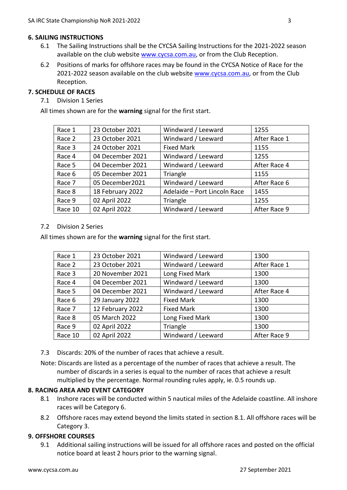#### **6. SAILING INSTRUCTIONS**

- 6.1 The Sailing Instructions shall be the CYCSA Sailing Instructions for the 2021-2022 season available on the club website [www.cycsa.com.au,](http://www.cycsa.com.au/) or from the Club Reception.
- 6.2 Positions of marks for offshore races may be found in the CYCSA Notice of Race for the 2021-2022 season available on the club website [www.cycsa.com.au,](http://www.cycsa.com.au/) or from the Club Reception.

#### **7. SCHEDULE OF RACES**

7.1 Division 1 Series

All times shown are for the **warning** signal for the first start.

| Race 1  | 23 October 2021  | Windward / Leeward           | 1255         |
|---------|------------------|------------------------------|--------------|
| Race 2  | 23 October 2021  | Windward / Leeward           | After Race 1 |
| Race 3  | 24 October 2021  | <b>Fixed Mark</b>            | 1155         |
| Race 4  | 04 December 2021 | Windward / Leeward           | 1255         |
| Race 5  | 04 December 2021 | Windward / Leeward           | After Race 4 |
| Race 6  | 05 December 2021 | Triangle                     | 1155         |
| Race 7  | 05 December2021  | Windward / Leeward           | After Race 6 |
| Race 8  | 18 February 2022 | Adelaide - Port Lincoln Race | 1455         |
| Race 9  | 02 April 2022    | Triangle                     | 1255         |
| Race 10 | 02 April 2022    | Windward / Leeward           | After Race 9 |

#### 7.2 Division 2 Series

All times shown are for the **warning** signal for the first start.

| Race 1  | 23 October 2021  | Windward / Leeward | 1300         |
|---------|------------------|--------------------|--------------|
| Race 2  | 23 October 2021  | Windward / Leeward | After Race 1 |
| Race 3  | 20 November 2021 | Long Fixed Mark    | 1300         |
| Race 4  | 04 December 2021 | Windward / Leeward | 1300         |
| Race 5  | 04 December 2021 | Windward / Leeward | After Race 4 |
| Race 6  | 29 January 2022  | <b>Fixed Mark</b>  | 1300         |
| Race 7  | 12 February 2022 | <b>Fixed Mark</b>  | 1300         |
| Race 8  | 05 March 2022    | Long Fixed Mark    | 1300         |
| Race 9  | 02 April 2022    | Triangle           | 1300         |
| Race 10 | 02 April 2022    | Windward / Leeward | After Race 9 |

- 7.3 Discards: 20% of the number of races that achieve a result.
- Note: Discards are listed as a percentage of the number of races that achieve a result. The number of discards in a series is equal to the number of races that achieve a result multiplied by the percentage. Normal rounding rules apply, ie. 0.5 rounds up.

#### **8. RACING AREA AND EVENT CATEGORY**

- 8.1 Inshore races will be conducted within 5 nautical miles of the Adelaide coastline. All inshore races will be Category 6.
- 8.2 Offshore races may extend beyond the limits stated in section 8.1. All offshore races will be Category 3.

#### **9. OFFSHORE COURSES**

9.1 Additional sailing instructions will be issued for all offshore races and posted on the official notice board at least 2 hours prior to the warning signal.